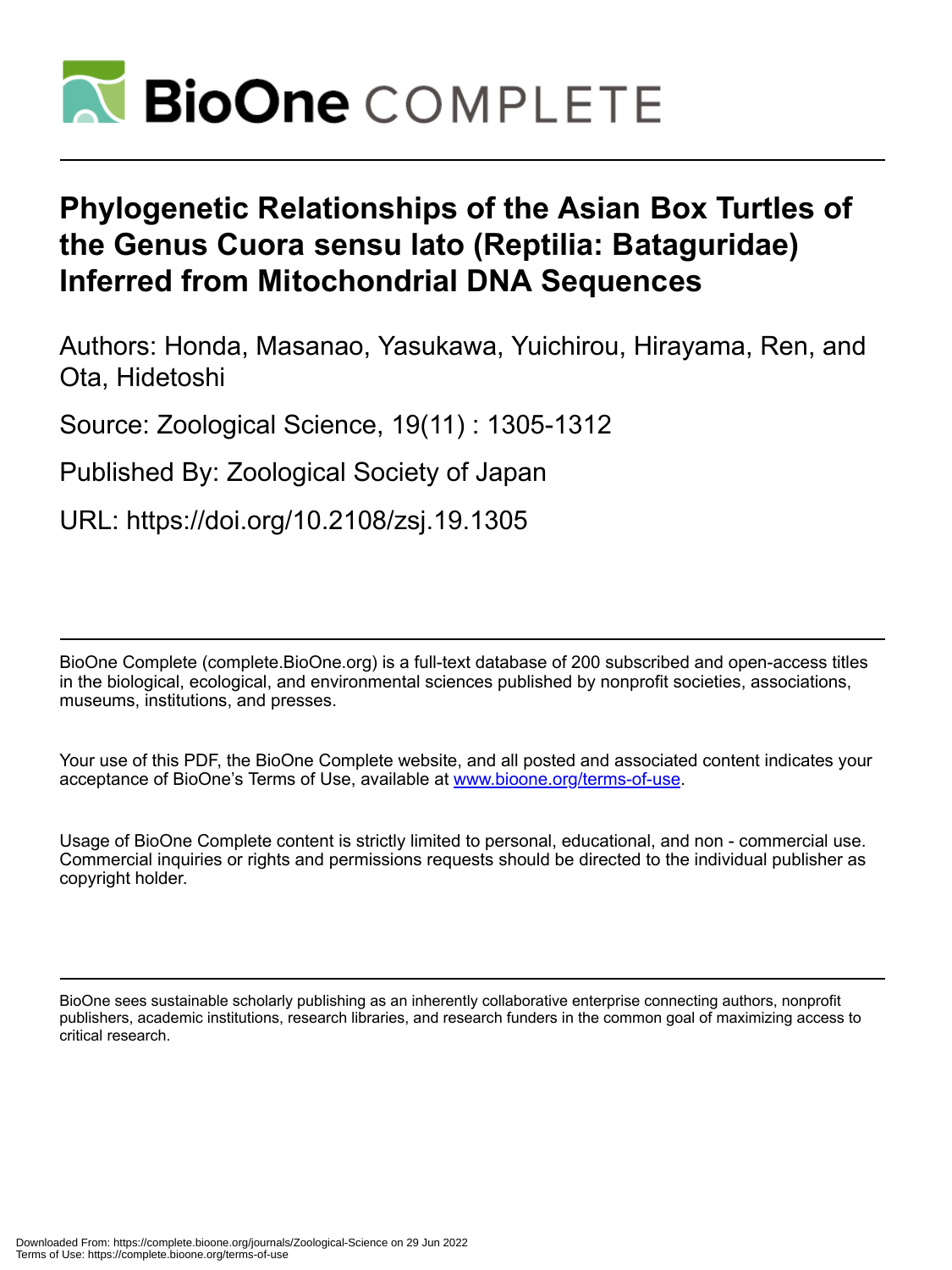

# **Phylogenetic Relationships of the Asian Box Turtles of the Genus Cuora sensu lato (Reptilia: Bataguridae) Inferred from Mitochondrial DNA Sequences**

Authors: Honda, Masanao, Yasukawa, Yuichirou, Hirayama, Ren, and Ota, Hidetoshi

Source: Zoological Science, 19(11) : 1305-1312

Published By: Zoological Society of Japan

URL: https://doi.org/10.2108/zsj.19.1305

BioOne Complete (complete.BioOne.org) is a full-text database of 200 subscribed and open-access titles in the biological, ecological, and environmental sciences published by nonprofit societies, associations, museums, institutions, and presses.

Your use of this PDF, the BioOne Complete website, and all posted and associated content indicates your acceptance of BioOne's Terms of Use, available at www.bioone.org/terms-of-use.

Usage of BioOne Complete content is strictly limited to personal, educational, and non - commercial use. Commercial inquiries or rights and permissions requests should be directed to the individual publisher as copyright holder.

BioOne sees sustainable scholarly publishing as an inherently collaborative enterprise connecting authors, nonprofit publishers, academic institutions, research libraries, and research funders in the common goal of maximizing access to critical research.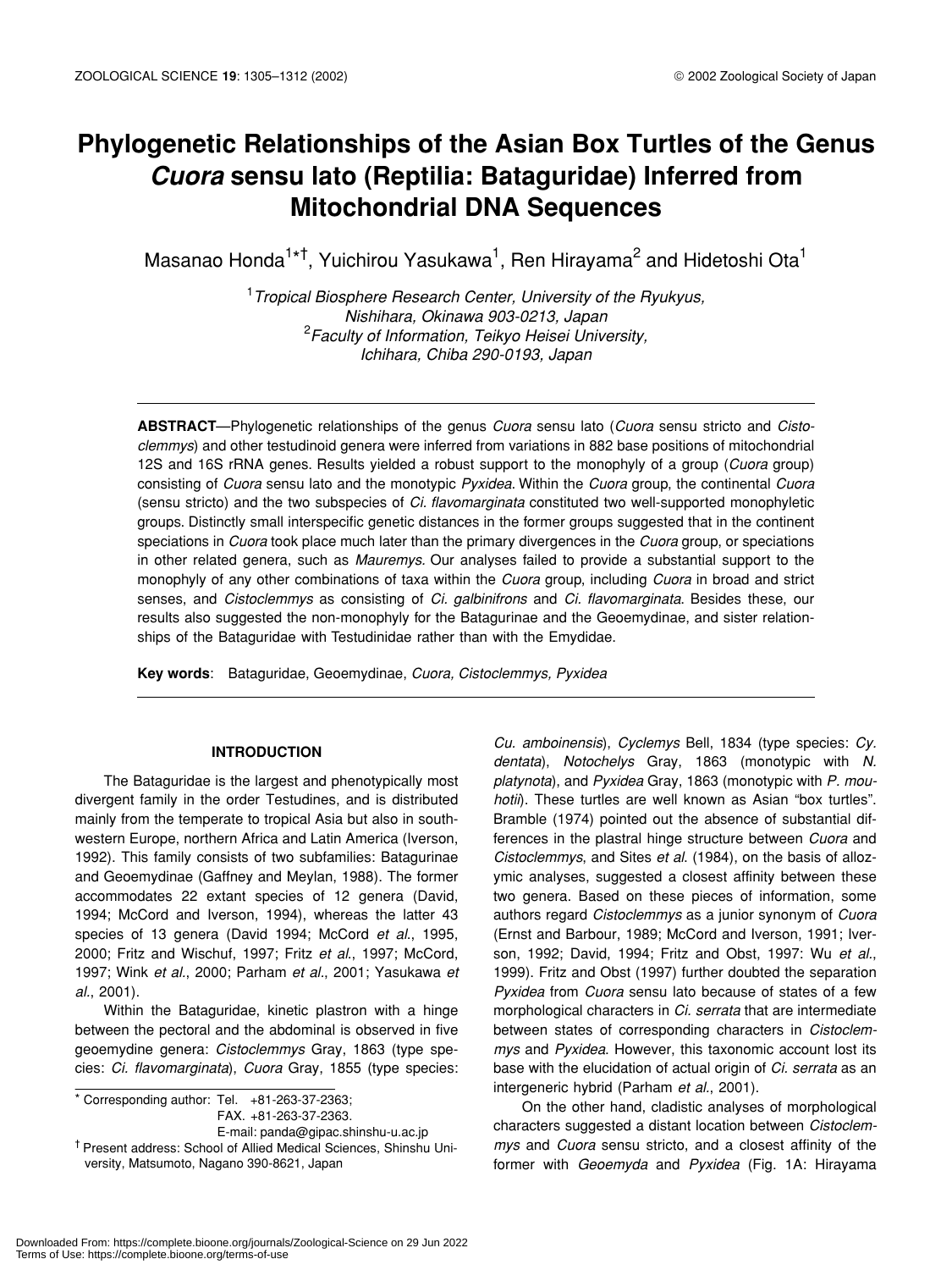# **Phylogenetic Relationships of the Asian Box Turtles of the Genus** *Cuora* **sensu lato (Reptilia: Bataguridae) Inferred from Mitochondrial DNA Sequences**

Masanao Honda $^{1*}$ †, Yuichirou Yasukawa $^1$ , Ren Hirayama $^2$  and Hidetoshi Ota $^1$ 

1 *Tropical Biosphere Research Center, University of the Ryukyus, Nishihara, Okinawa 903-0213, Japan* 2 *Faculty of Information, Teikyo Heisei University, Ichihara, Chiba 290-0193, Japan*

**ABSTRACT**—Phylogenetic relationships of the genus *Cuora* sensu lato (*Cuora* sensu stricto and *Cistoclemmys*) and other testudinoid genera were inferred from variations in 882 base positions of mitochondrial 12S and 16S rRNA genes. Results yielded a robust support to the monophyly of a group (*Cuora* group) consisting of *Cuora* sensu lato and the monotypic *Pyxidea*. Within the *Cuora* group, the continental *Cuora* (sensu stricto) and the two subspecies of *Ci. flavomarginata* constituted two well-supported monophyletic groups. Distinctly small interspecific genetic distances in the former groups suggested that in the continent speciations in *Cuora* took place much later than the primary divergences in the *Cuora* group, or speciations in other related genera, such as *Mauremys.* Our analyses failed to provide a substantial support to the monophyly of any other combinations of taxa within the *Cuora* group, including *Cuora* in broad and strict senses, and *Cistoclemmys* as consisting of *Ci. galbinifrons* and *Ci. flavomarginata*. Besides these, our results also suggested the non-monophyly for the Batagurinae and the Geoemydinae, and sister relationships of the Bataguridae with Testudinidae rather than with the Emydidae.

**Key words**: Bataguridae, Geoemydinae, *Cuora, Cistoclemmys, Pyxidea*

# **INTRODUCTION**

The Bataguridae is the largest and phenotypically most divergent family in the order Testudines, and is distributed mainly from the temperate to tropical Asia but also in southwestern Europe, northern Africa and Latin America (Iverson, 1992). This family consists of two subfamilies: Batagurinae and Geoemydinae (Gaffney and Meylan, 1988). The former accommodates 22 extant species of 12 genera (David, 1994; McCord and Iverson, 1994), whereas the latter 43 species of 13 genera (David 1994; McCord *et al*., 1995, 2000; Fritz and Wischuf, 1997; Fritz *et al*., 1997; McCord, 1997; Wink *et al.*, 2000; Parham *et al.*, 2001; Yasukawa *et al.*, 2001).

Within the Bataguridae, kinetic plastron with a hinge between the pectoral and the abdominal is observed in five geoemydine genera: *Cistoclemmys* Gray, 1863 (type species: *Ci. flavomarginata*), *Cuora* Gray, 1855 (type species:

 $\overline{\bullet}$  Corresponding author: Tel. +81-263-37-2363; FAX. +81-263-37-2363.

E-mail: panda@gipac.shinshu-u.ac.jp † Present address: School of Allied Medical Sciences, Shinshu University, Matsumoto, Nagano 390-8621, Japan

*Cu. amboinensis*), *Cyclemys* Bell, 1834 (type species: *Cy. dentata*), *Notochelys* Gray, 1863 (monotypic with *N. platynota*), and *Pyxidea* Gray, 1863 (monotypic with *P. mouhotii*). These turtles are well known as Asian "box turtles". Bramble (1974) pointed out the absence of substantial differences in the plastral hinge structure between *Cuora* and *Cistoclemmys*, and Sites *et al*. (1984), on the basis of allozymic analyses, suggested a closest affinity between these two genera. Based on these pieces of information, some authors regard *Cistoclemmys* as a junior synonym of *Cuora* (Ernst and Barbour, 1989; McCord and Iverson, 1991; Iverson, 1992; David, 1994; Fritz and Obst, 1997: Wu *et al.*, 1999). Fritz and Obst (1997) further doubted the separation *Pyxidea* from *Cuora* sensu lato because of states of a few morphological characters in *Ci. serrata* that are intermediate between states of corresponding characters in *Cistoclemmys* and *Pyxidea*. However, this taxonomic account lost its base with the elucidation of actual origin of *Ci. serrata* as an intergeneric hybrid (Parham *et al.*, 2001).

On the other hand, cladistic analyses of morphological characters suggested a distant location between *Cistoclemmys* and *Cuora* sensu stricto, and a closest affinity of the former with *Geoemyda* and *Pyxidea* (Fig. 1A: Hirayama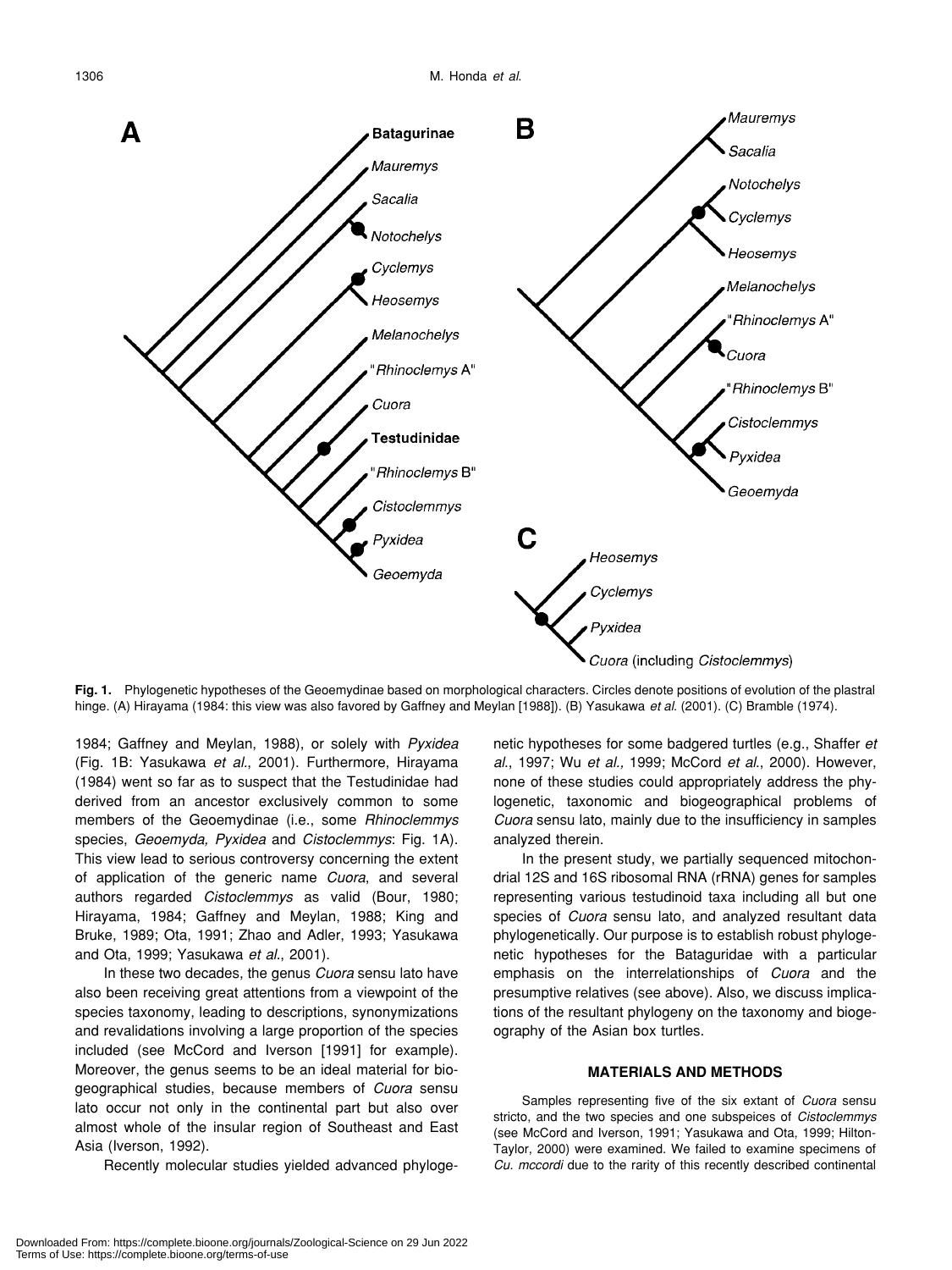

**Fig. 1.** Phylogenetic hypotheses of the Geoemydinae based on morphological characters. Circles denote positions of evolution of the plastral hinge. (A) Hirayama (1984: this view was also favored by Gaffney and Meylan [1988]). (B) Yasukawa *et al*. (2001). (C) Bramble (1974).

1984; Gaffney and Meylan, 1988), or solely with *Pyxidea* (Fig. 1B: Yasukawa *et al.*, 2001). Furthermore, Hirayama (1984) went so far as to suspect that the Testudinidae had derived from an ancestor exclusively common to some members of the Geoemydinae (i.e., some *Rhinoclemmys* species, *Geoemyda, Pyxidea* and *Cistoclemmys*: Fig. 1A). This view lead to serious controversy concerning the extent of application of the generic name *Cuora*, and several authors regarded *Cistoclemmys* as valid (Bour, 1980; Hirayama, 1984; Gaffney and Meylan, 1988; King and Bruke, 1989; Ota, 1991; Zhao and Adler, 1993; Yasukawa and Ota, 1999; Yasukawa *et al.*, 2001).

In these two decades, the genus *Cuora* sensu lato have also been receiving great attentions from a viewpoint of the species taxonomy, leading to descriptions, synonymizations and revalidations involving a large proportion of the species included (see McCord and Iverson [1991] for example). Moreover, the genus seems to be an ideal material for biogeographical studies, because members of *Cuora* sensu lato occur not only in the continental part but also over almost whole of the insular region of Southeast and East Asia (Iverson, 1992).

Recently molecular studies yielded advanced phyloge-

netic hypotheses for some badgered turtles (e.g., Shaffer *et al*., 1997; Wu *et al.,* 1999; McCord *et al*., 2000). However, none of these studies could appropriately address the phylogenetic, taxonomic and biogeographical problems of *Cuora* sensu lato, mainly due to the insufficiency in samples analyzed therein.

In the present study, we partially sequenced mitochondrial 12S and 16S ribosomal RNA (rRNA) genes for samples representing various testudinoid taxa including all but one species of *Cuora* sensu lato, and analyzed resultant data phylogenetically. Our purpose is to establish robust phylogenetic hypotheses for the Bataguridae with a particular emphasis on the interrelationships of *Cuora* and the presumptive relatives (see above). Also, we discuss implications of the resultant phylogeny on the taxonomy and biogeography of the Asian box turtles.

#### **MATERIALS AND METHODS**

Samples representing five of the six extant of *Cuora* sensu stricto, and the two species and one subspeices of *Cistoclemmys* (see McCord and Iverson, 1991; Yasukawa and Ota, 1999; Hilton-Taylor, 2000) were examined. We failed to examine specimens of *Cu. mccordi* due to the rarity of this recently described continental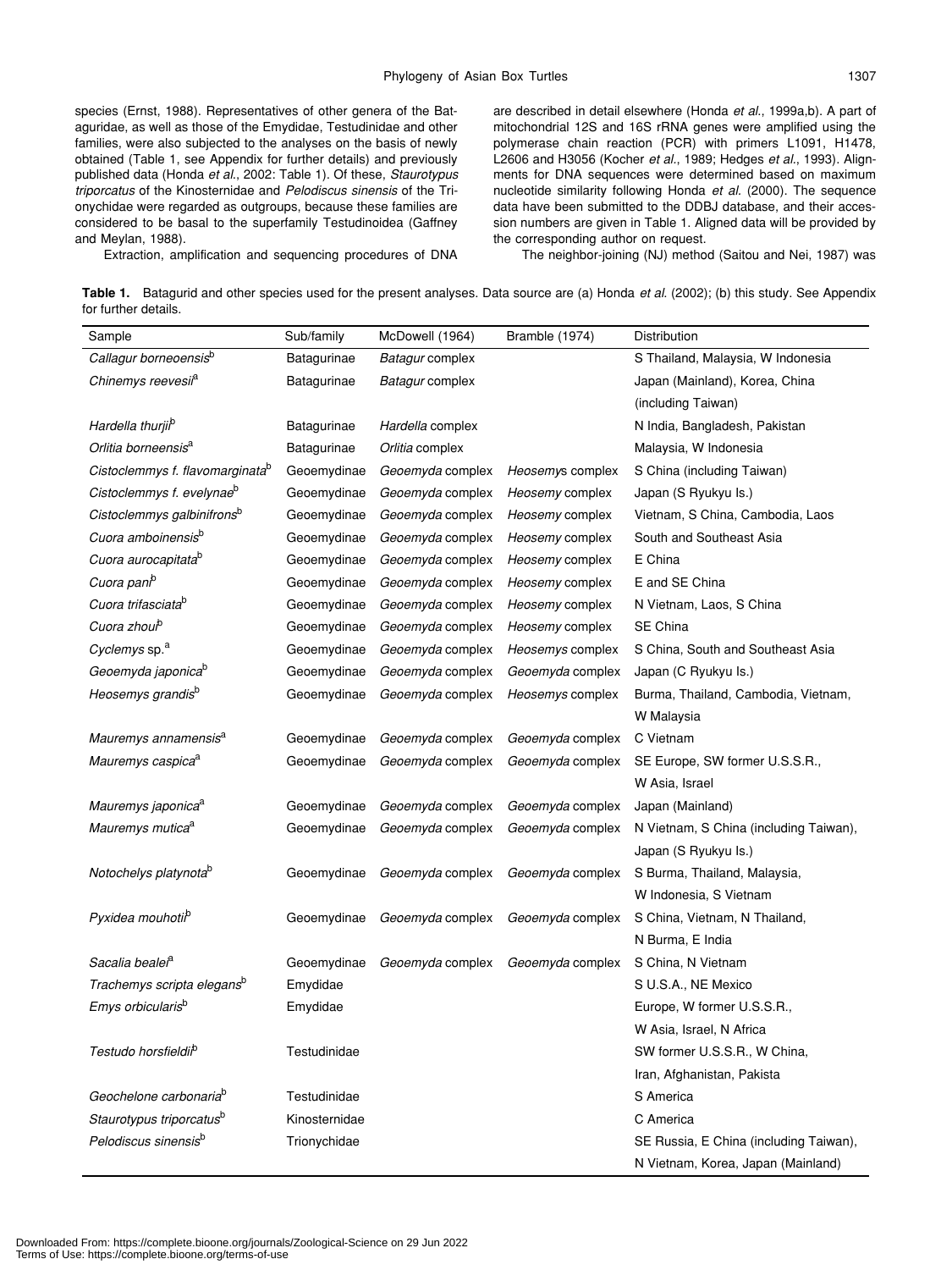species (Ernst, 1988). Representatives of other genera of the Bataguridae, as well as those of the Emydidae, Testudinidae and other families, were also subjected to the analyses on the basis of newly obtained (Table 1, see Appendix for further details) and previously published data (Honda *et al*., 2002: Table 1). Of these, *Staurotypus triporcatus* of the Kinosternidae and *Pelodiscus sinensis* of the Trionychidae were regarded as outgroups, because these families are considered to be basal to the superfamily Testudinoidea (Gaffney and Meylan, 1988).

are described in detail elsewhere (Honda *et al*., 1999a,b). A part of mitochondrial 12S and 16S rRNA genes were amplified using the polymerase chain reaction (PCR) with primers L1091, H1478, L2606 and H3056 (Kocher *et al.*, 1989; Hedges *et al.*, 1993). Alignments for DNA sequences were determined based on maximum nucleotide similarity following Honda *et al.* (2000). The sequence data have been submitted to the DDBJ database, and their accession numbers are given in Table 1. Aligned data will be provided by the corresponding author on request.

Extraction, amplification and sequencing procedures of DNA

The neighbor-joining (NJ) method (Saitou and Nei, 1987) was

**Table 1.** Batagurid and other species used for the present analyses. Data source are (a) Honda *et al*. (2002); (b) this study. See Appendix for further details.

| Sample                                      | Sub/family    | McDowell (1964)  | Bramble (1974)   | Distribution                           |
|---------------------------------------------|---------------|------------------|------------------|----------------------------------------|
| Callagur borneoensisb                       | Batagurinae   | Batagur complex  |                  | S Thailand, Malaysia, W Indonesia      |
| Chinemys reevesi <sup>a</sup>               | Batagurinae   | Batagur complex  |                  | Japan (Mainland), Korea, China         |
|                                             |               |                  |                  | (including Taiwan)                     |
| Hardella thurji <sup>b</sup>                | Batagurinae   | Hardella complex |                  | N India, Bangladesh, Pakistan          |
| Orlitia borneensis <sup>a</sup>             | Batagurinae   | Orlitia complex  |                  | Malaysia, W Indonesia                  |
| Cistoclemmys f. flavomarginata <sup>o</sup> | Geoemydinae   | Geoemyda complex | Heosemys complex | S China (including Taiwan)             |
| Cistoclemmys f. evelynae <sup>b</sup>       | Geoemydinae   | Geoemyda complex | Heosemy complex  | Japan (S Ryukyu Is.)                   |
| Cistoclemmys galbinifrons <sup>b</sup>      | Geoemydinae   | Geoemyda complex | Heosemy complex  | Vietnam, S China, Cambodia, Laos       |
| Cuora amboinensis <sup>b</sup>              | Geoemydinae   | Geoemyda complex | Heosemy complex  | South and Southeast Asia               |
| Cuora aurocapitata <sup>b</sup>             | Geoemydinae   | Geoemyda complex | Heosemy complex  | E China                                |
| Cuora pani <sup>b</sup>                     | Geoemydinae   | Geoemyda complex | Heosemy complex  | E and SE China                         |
| Cuora trifasciata <sup>b</sup>              | Geoemydinae   | Geoemyda complex | Heosemy complex  | N Vietnam, Laos, S China               |
| Cuora zhou <sup>b</sup>                     | Geoemydinae   | Geoemyda complex | Heosemy complex  | SE China                               |
| Cyclemys sp. <sup>a</sup>                   | Geoemydinae   | Geoemyda complex | Heosemys complex | S China, South and Southeast Asia      |
| Geoemyda japonica <sup>b</sup>              | Geoemydinae   | Geoemyda complex | Geoemyda complex | Japan (C Ryukyu Is.)                   |
| Heosemys grandisb                           | Geoemydinae   | Geoemyda complex | Heosemys complex | Burma, Thailand, Cambodia, Vietnam,    |
|                                             |               |                  |                  | W Malaysia                             |
| Mauremys annamensis <sup>a</sup>            | Geoemydinae   | Geoemyda complex | Geoemyda complex | C Vietnam                              |
| Mauremys caspica <sup>a</sup>               | Geoemydinae   | Geoemyda complex | Geoemyda complex | SE Europe, SW former U.S.S.R.,         |
|                                             |               |                  |                  | W Asia, Israel                         |
| Mauremys japonica <sup>a</sup>              | Geoemydinae   | Geoemyda complex | Geoemyda complex | Japan (Mainland)                       |
| Mauremys mutica <sup>a</sup>                | Geoemydinae   | Geoemyda complex | Geoemyda complex | N Vietnam, S China (including Taiwan), |
|                                             |               |                  |                  | Japan (S Ryukyu Is.)                   |
| Notochelys platynota <sup>b</sup>           | Geoemydinae   | Geoemyda complex | Geoemyda complex | S Burma, Thailand, Malaysia,           |
|                                             |               |                  |                  | W Indonesia, S Vietnam                 |
| Pyxidea mouhotii <sup>b</sup>               | Geoemydinae   | Geoemyda complex | Geoemyda complex | S China, Vietnam, N Thailand,          |
|                                             |               |                  |                  | N Burma, E India                       |
| Sacalia bealei <sup>a</sup>                 | Geoemydinae   | Geoemyda complex | Geoemyda complex | S China, N Vietnam                     |
| Trachemys scripta elegans <sup>b</sup>      | Emydidae      |                  |                  | S U.S.A., NE Mexico                    |
| Emys orbicularis <sup>b</sup>               | Emydidae      |                  |                  | Europe, W former U.S.S.R.,             |
|                                             |               |                  |                  | W Asia, Israel, N Africa               |
| Testudo horsfieldil <sup>b</sup>            | Testudinidae  |                  |                  | SW former U.S.S.R., W China,           |
|                                             |               |                  |                  | Iran, Afghanistan, Pakista             |
| Geochelone carbonaria <sup>b</sup>          | Testudinidae  |                  |                  | S America                              |
| Staurotypus triporcatus <sup>b</sup>        | Kinosternidae |                  |                  | C America                              |
| Pelodiscus sinensis <sup>b</sup>            | Trionychidae  |                  |                  | SE Russia, E China (including Taiwan), |
|                                             |               |                  |                  | N Vietnam, Korea, Japan (Mainland)     |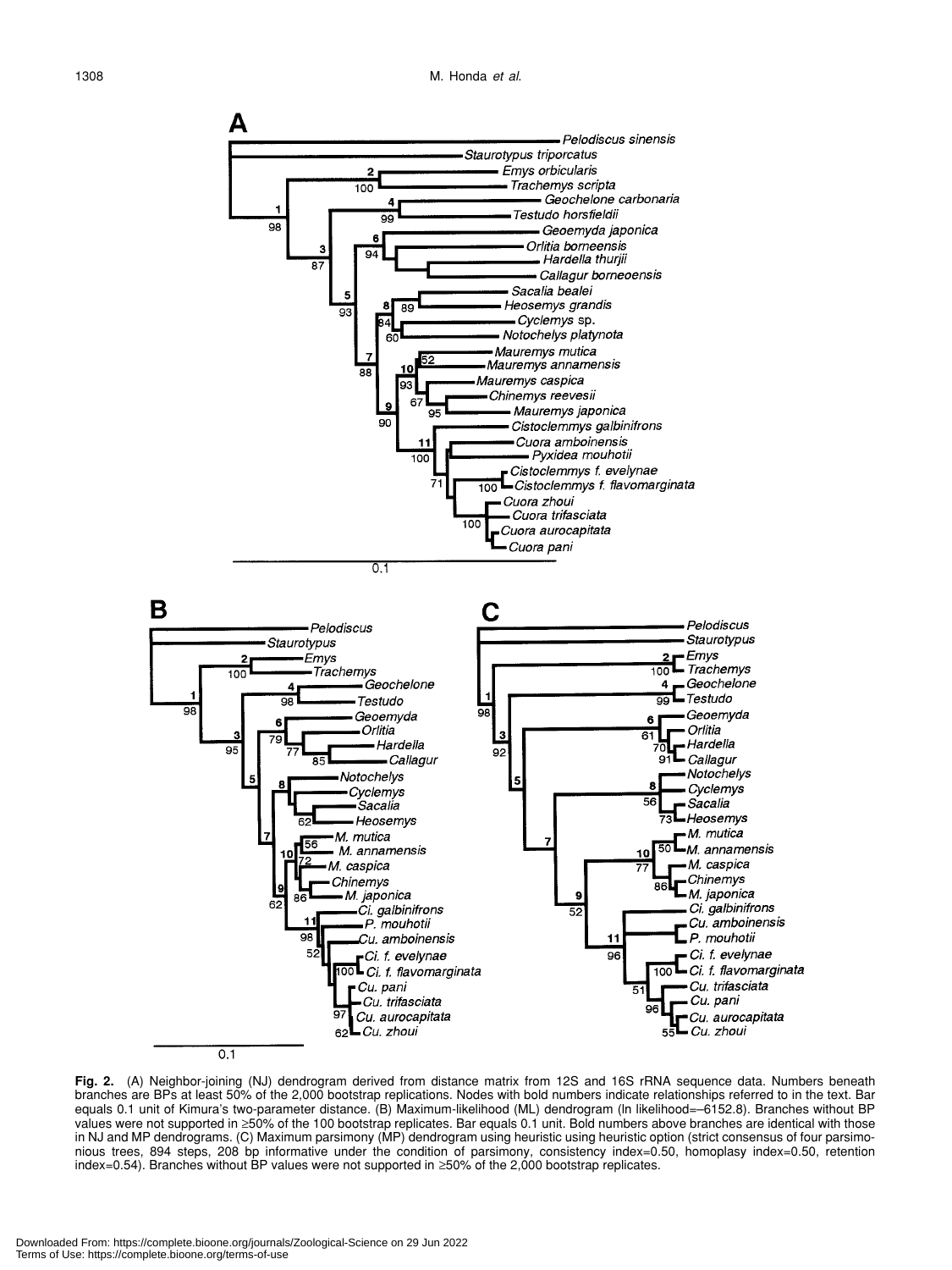

**Fig. 2.** (A) Neighbor-joining (NJ) dendrogram derived from distance matrix from 12S and 16S rRNA sequence data. Numbers beneath branches are BPs at least 50% of the 2,000 bootstrap replications. Nodes with bold numbers indicate relationships referred to in the text. Bar equals 0.1 unit of Kimura's two-parameter distance. (B) Maximum-likelihood (ML) dendrogram (ln likelihood=–6152.8). Branches without BP values were not supported in ≥50% of the 100 bootstrap replicates. Bar equals 0.1 unit. Bold numbers above branches are identical with those in NJ and MP dendrograms. (C) Maximum parsimony (MP) dendrogram using heuristic using heuristic option (strict consensus of four parsimonious trees, 894 steps, 208 bp informative under the condition of parsimony, consistency index=0.50, homoplasy index=0.50, retention index=0.54). Branches without BP values were not supported in ≥50% of the 2,000 bootstrap replicates.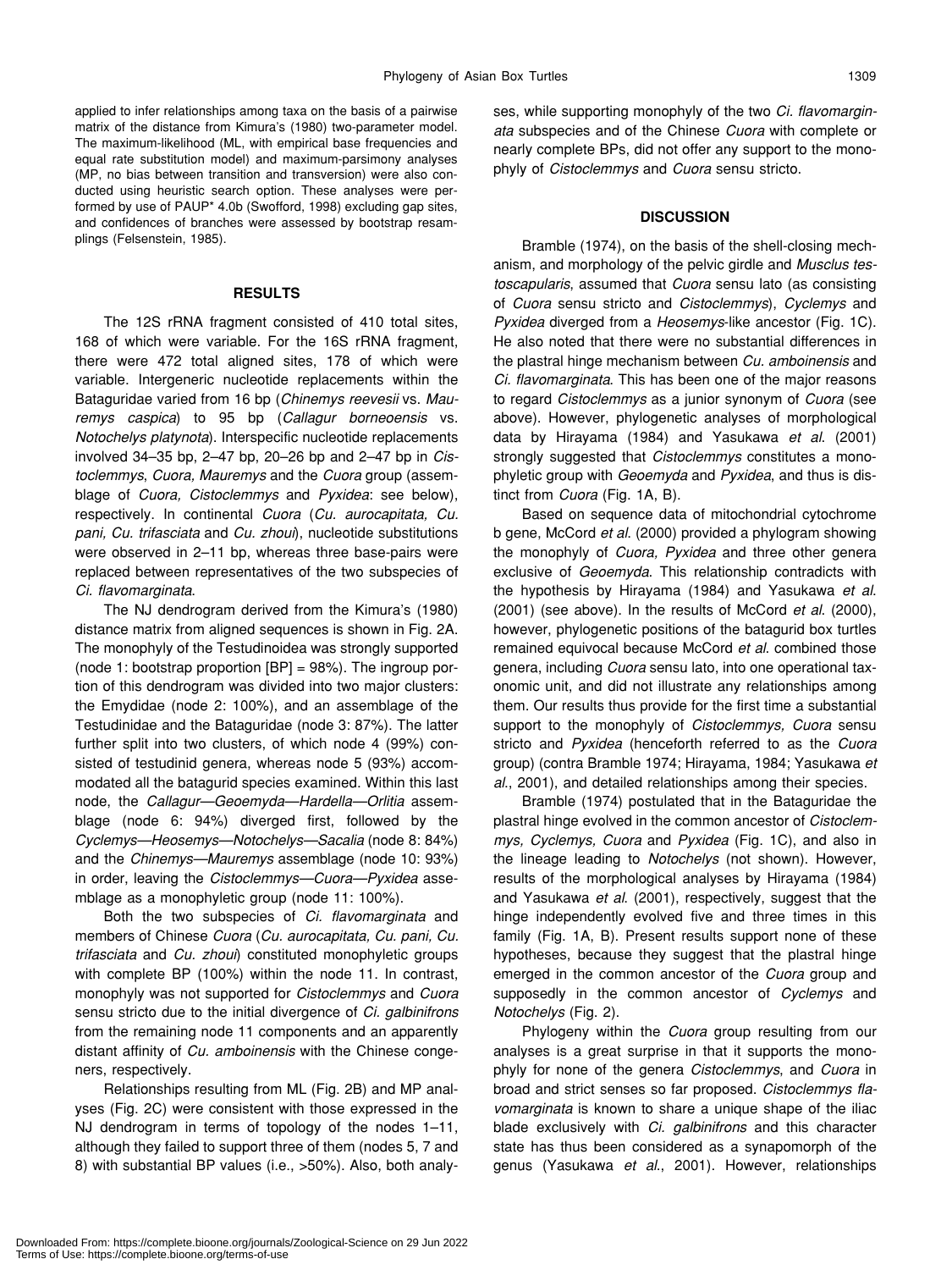applied to infer relationships among taxa on the basis of a pairwise matrix of the distance from Kimura's (1980) two-parameter model. The maximum-likelihood (ML, with empirical base frequencies and equal rate substitution model) and maximum-parsimony analyses (MP, no bias between transition and transversion) were also conducted using heuristic search option. These analyses were performed by use of PAUP\* 4.0b (Swofford, 1998) excluding gap sites, and confidences of branches were assessed by bootstrap resamplings (Felsenstein, 1985).

#### **RESULTS**

The 12S rRNA fragment consisted of 410 total sites, 168 of which were variable. For the 16S rRNA fragment, there were 472 total aligned sites, 178 of which were variable. Intergeneric nucleotide replacements within the Bataguridae varied from 16 bp (*Chinemys reevesii* vs. *Mauremys caspica*) to 95 bp (*Callagur borneoensis* vs. *Notochelys platynota*). Interspecific nucleotide replacements involved 34–35 bp, 2–47 bp, 20–26 bp and 2–47 bp in *Cistoclemmys*, *Cuora, Mauremys* and the *Cuora* group (assemblage of *Cuora, Cistoclemmys* and *Pyxidea*: see below), respectively. In continental *Cuora* (*Cu. aurocapitata, Cu. pani, Cu. trifasciata* and *Cu. zhoui*), nucleotide substitutions were observed in 2–11 bp, whereas three base-pairs were replaced between representatives of the two subspecies of *Ci. flavomarginata*.

The NJ dendrogram derived from the Kimura's (1980) distance matrix from aligned sequences is shown in Fig. 2A. The monophyly of the Testudinoidea was strongly supported (node 1: bootstrap proportion  $[BP] = 98\%$ ). The ingroup portion of this dendrogram was divided into two major clusters: the Emydidae (node 2: 100%), and an assemblage of the Testudinidae and the Bataguridae (node 3: 87%). The latter further split into two clusters, of which node 4 (99%) consisted of testudinid genera, whereas node 5 (93%) accommodated all the batagurid species examined. Within this last node, the *Callagur—Geoemyda—Hardella—Orlitia* assemblage (node 6: 94%) diverged first, followed by the *Cyclemys—Heosemys—Notochelys—Sacalia* (node 8: 84%) and the *Chinemys—Mauremys* assemblage (node 10: 93%) in order, leaving the *Cistoclemmys—Cuora—Pyxidea* assemblage as a monophyletic group (node 11: 100%).

Both the two subspecies of *Ci. flavomarginata* and members of Chinese *Cuora* (*Cu. aurocapitata, Cu. pani, Cu. trifasciata* and *Cu. zhoui*) constituted monophyletic groups with complete BP (100%) within the node 11. In contrast, monophyly was not supported for *Cistoclemmys* and *Cuora* sensu stricto due to the initial divergence of *Ci. galbinifrons* from the remaining node 11 components and an apparently distant affinity of *Cu. amboinensis* with the Chinese congeners, respectively.

Relationships resulting from ML (Fig. 2B) and MP analyses (Fig. 2C) were consistent with those expressed in the NJ dendrogram in terms of topology of the nodes 1–11, although they failed to support three of them (nodes 5, 7 and 8) with substantial BP values (i.e., >50%). Also, both analyses, while supporting monophyly of the two *Ci. flavomarginata* subspecies and of the Chinese *Cuora* with complete or nearly complete BPs, did not offer any support to the monophyly of *Cistoclemmys* and *Cuora* sensu stricto.

### **DISCUSSION**

Bramble (1974), on the basis of the shell-closing mechanism, and morphology of the pelvic girdle and *Musclus testoscapularis*, assumed that *Cuora* sensu lato (as consisting of *Cuora* sensu stricto and *Cistoclemmys*), *Cyclemys* and *Pyxidea* diverged from a *Heosemys*-like ancestor (Fig. 1C). He also noted that there were no substantial differences in the plastral hinge mechanism between *Cu. amboinensis* and *Ci. flavomarginata*. This has been one of the major reasons to regard *Cistoclemmys* as a junior synonym of *Cuora* (see above). However, phylogenetic analyses of morphological data by Hirayama (1984) and Yasukawa *et al*. (2001) strongly suggested that *Cistoclemmys* constitutes a monophyletic group with *Geoemyda* and *Pyxidea*, and thus is distinct from *Cuora* (Fig. 1A, B).

Based on sequence data of mitochondrial cytochrome b gene, McCord *et al*. (2000) provided a phylogram showing the monophyly of *Cuora, Pyxidea* and three other genera exclusive of *Geoemyda*. This relationship contradicts with the hypothesis by Hirayama (1984) and Yasukawa *et al*. (2001) (see above). In the results of McCord *et al*. (2000), however, phylogenetic positions of the batagurid box turtles remained equivocal because McCord *et al*. combined those genera, including *Cuora* sensu lato, into one operational taxonomic unit, and did not illustrate any relationships among them. Our results thus provide for the first time a substantial support to the monophyly of *Cistoclemmys, Cuora* sensu stricto and *Pyxidea* (henceforth referred to as the *Cuora* group) (contra Bramble 1974; Hirayama, 1984; Yasukawa *et al*., 2001), and detailed relationships among their species.

Bramble (1974) postulated that in the Bataguridae the plastral hinge evolved in the common ancestor of *Cistoclemmys, Cyclemys, Cuora* and *Pyxidea* (Fig. 1C), and also in the lineage leading to *Notochelys* (not shown). However, results of the morphological analyses by Hirayama (1984) and Yasukawa *et al*. (2001), respectively, suggest that the hinge independently evolved five and three times in this family (Fig. 1A, B). Present results support none of these hypotheses, because they suggest that the plastral hinge emerged in the common ancestor of the *Cuora* group and supposedly in the common ancestor of *Cyclemys* and *Notochelys* (Fig. 2).

Phylogeny within the *Cuora* group resulting from our analyses is a great surprise in that it supports the monophyly for none of the genera *Cistoclemmys*, and *Cuora* in broad and strict senses so far proposed. *Cistoclemmys flavomarginata* is known to share a unique shape of the iliac blade exclusively with *Ci. galbinifrons* and this character state has thus been considered as a synapomorph of the genus (Yasukawa *et al*., 2001). However, relationships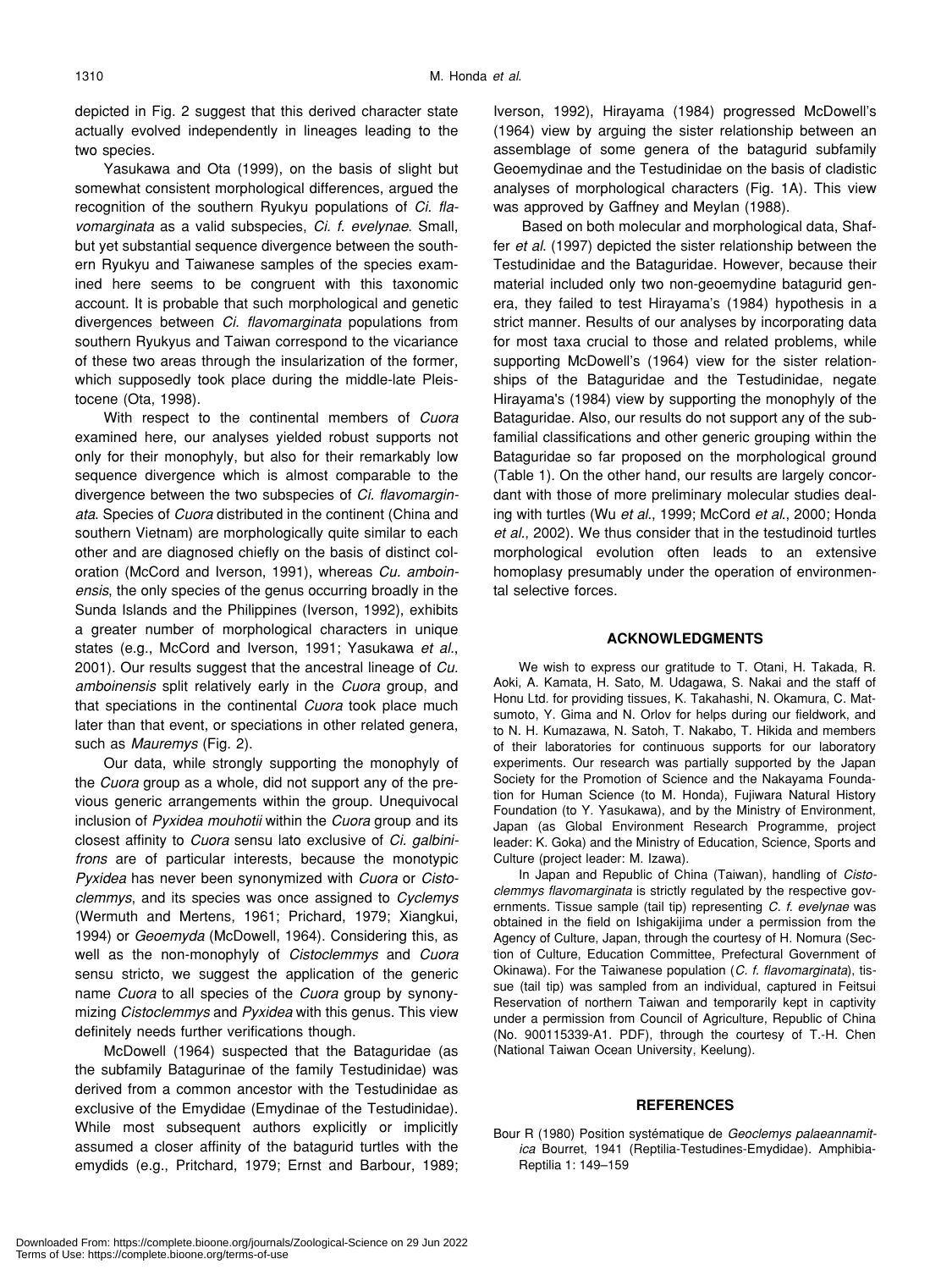depicted in Fig. 2 suggest that this derived character state actually evolved independently in lineages leading to the two species.

Yasukawa and Ota (1999), on the basis of slight but somewhat consistent morphological differences, argued the recognition of the southern Ryukyu populations of *Ci. flavomarginata* as a valid subspecies, *Ci. f. evelynae*. Small, but yet substantial sequence divergence between the southern Ryukyu and Taiwanese samples of the species examined here seems to be congruent with this taxonomic account. It is probable that such morphological and genetic divergences between *Ci. flavomarginata* populations from southern Ryukyus and Taiwan correspond to the vicariance of these two areas through the insularization of the former, which supposedly took place during the middle-late Pleistocene (Ota, 1998).

With respect to the continental members of *Cuora* examined here, our analyses yielded robust supports not only for their monophyly, but also for their remarkably low sequence divergence which is almost comparable to the divergence between the two subspecies of *Ci. flavomarginata*. Species of *Cuora* distributed in the continent (China and southern Vietnam) are morphologically quite similar to each other and are diagnosed chiefly on the basis of distinct coloration (McCord and Iverson, 1991), whereas *Cu. amboinensis*, the only species of the genus occurring broadly in the Sunda Islands and the Philippines (Iverson, 1992), exhibits a greater number of morphological characters in unique states (e.g., McCord and Iverson, 1991; Yasukawa *et al.*, 2001). Our results suggest that the ancestral lineage of *Cu. amboinensis* split relatively early in the *Cuora* group, and that speciations in the continental *Cuora* took place much later than that event, or speciations in other related genera, such as *Mauremys* (Fig. 2).

Our data, while strongly supporting the monophyly of the *Cuora* group as a whole, did not support any of the previous generic arrangements within the group. Unequivocal inclusion of *Pyxidea mouhotii* within the *Cuora* group and its closest affinity to *Cuora* sensu lato exclusive of *Ci. galbinifrons* are of particular interests, because the monotypic *Pyxidea* has never been synonymized with *Cuora* or *Cistoclemmys*, and its species was once assigned to *Cyclemys* (Wermuth and Mertens, 1961; Prichard, 1979; Xiangkui, 1994) or *Geoemyda* (McDowell, 1964). Considering this, as well as the non-monophyly of *Cistoclemmys* and *Cuora* sensu stricto, we suggest the application of the generic name *Cuora* to all species of the *Cuora* group by synonymizing *Cistoclemmys* and *Pyxidea* with this genus. This view definitely needs further verifications though.

McDowell (1964) suspected that the Bataguridae (as the subfamily Batagurinae of the family Testudinidae) was derived from a common ancestor with the Testudinidae as exclusive of the Emydidae (Emydinae of the Testudinidae). While most subsequent authors explicitly or implicitly assumed a closer affinity of the batagurid turtles with the emydids (e.g., Pritchard, 1979; Ernst and Barbour, 1989;

Iverson, 1992), Hirayama (1984) progressed McDowell's (1964) view by arguing the sister relationship between an assemblage of some genera of the batagurid subfamily Geoemydinae and the Testudinidae on the basis of cladistic analyses of morphological characters (Fig. 1A). This view was approved by Gaffney and Meylan (1988).

Based on both molecular and morphological data, Shaffer *et al*. (1997) depicted the sister relationship between the Testudinidae and the Bataguridae. However, because their material included only two non-geoemydine batagurid genera, they failed to test Hirayama's (1984) hypothesis in a strict manner. Results of our analyses by incorporating data for most taxa crucial to those and related problems, while supporting McDowell's (1964) view for the sister relationships of the Bataguridae and the Testudinidae, negate Hirayama's (1984) view by supporting the monophyly of the Bataguridae. Also, our results do not support any of the subfamilial classifications and other generic grouping within the Bataguridae so far proposed on the morphological ground (Table 1). On the other hand, our results are largely concordant with those of more preliminary molecular studies dealing with turtles (Wu *et al.*, 1999; McCord *et al*., 2000; Honda *et al.*, 2002). We thus consider that in the testudinoid turtles morphological evolution often leads to an extensive homoplasy presumably under the operation of environmental selective forces.

#### **ACKNOWLEDGMENTS**

We wish to express our gratitude to T. Otani, H. Takada, R. Aoki, A. Kamata, H. Sato, M. Udagawa, S. Nakai and the staff of Honu Ltd. for providing tissues, K. Takahashi, N. Okamura, C. Matsumoto, Y. Gima and N. Orlov for helps during our fieldwork, and to N. H. Kumazawa, N. Satoh, T. Nakabo, T. Hikida and members of their laboratories for continuous supports for our laboratory experiments. Our research was partially supported by the Japan Society for the Promotion of Science and the Nakayama Foundation for Human Science (to M. Honda), Fujiwara Natural History Foundation (to Y. Yasukawa), and by the Ministry of Environment, Japan (as Global Environment Research Programme, project leader: K. Goka) and the Ministry of Education, Science, Sports and Culture (project leader: M. Izawa).

In Japan and Republic of China (Taiwan), handling of *Cistoclemmys flavomarginata* is strictly regulated by the respective governments. Tissue sample (tail tip) representing *C. f. evelynae* was obtained in the field on Ishigakijima under a permission from the Agency of Culture, Japan, through the courtesy of H. Nomura (Section of Culture, Education Committee, Prefectural Government of Okinawa). For the Taiwanese population (*C. f. flavomarginata*), tissue (tail tip) was sampled from an individual, captured in Feitsui Reservation of northern Taiwan and temporarily kept in captivity under a permission from Council of Agriculture, Republic of China (No. 900115339-A1. PDF), through the courtesy of T.-H. Chen (National Taiwan Ocean University, Keelung).

# **REFERENCES**

Bour R (1980) Position systématique de *Geoclemys palaeannamitica* Bourret, 1941 (Reptilia-Testudines-Emydidae). Amphibia-Reptilia 1: 149–159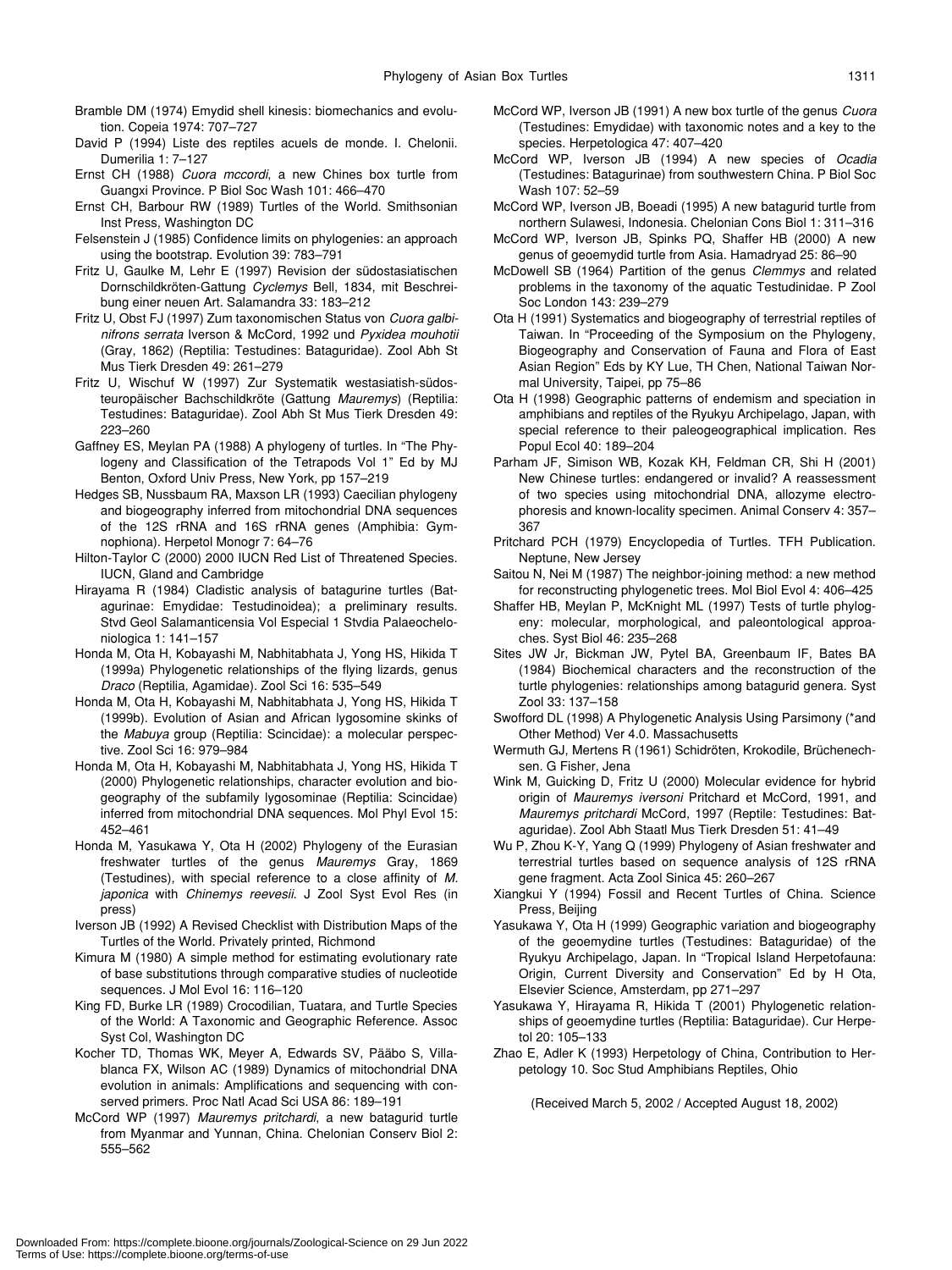- Bramble DM (1974) Emydid shell kinesis: biomechanics and evolution. Copeia 1974: 707–727
- David P (1994) Liste des reptiles acuels de monde. I. Chelonii. Dumerilia 1: 7–127
- Ernst CH (1988) *Cuora mccordi*, a new Chines box turtle from Guangxi Province. P Biol Soc Wash 101: 466–470
- Ernst CH, Barbour RW (1989) Turtles of the World. Smithsonian Inst Press, Washington DC
- Felsenstein J (1985) Confidence limits on phylogenies: an approach using the bootstrap. Evolution 39: 783–791
- Fritz U, Gaulke M, Lehr E (1997) Revision der südostasiatischen Dornschildkröten-Gattung *Cyclemys* Bell, 1834, mit Beschreibung einer neuen Art. Salamandra 33: 183–212
- Fritz U, Obst FJ (1997) Zum taxonomischen Status von *Cuora galbinifrons serrata* Iverson & McCord, 1992 und *Pyxidea mouhotii* (Gray, 1862) (Reptilia: Testudines: Bataguridae). Zool Abh St Mus Tierk Dresden 49: 261–279
- Fritz U, Wischuf W (1997) Zur Systematik westasiatish-südosteuropäischer Bachschildkröte (Gattung *Mauremys*) (Reptilia: Testudines: Bataguridae). Zool Abh St Mus Tierk Dresden 49: 223–260
- Gaffney ES, Meylan PA (1988) A phylogeny of turtles. In "The Phylogeny and Classification of the Tetrapods Vol 1" Ed by MJ Benton, Oxford Univ Press, New York, pp 157–219
- Hedges SB, Nussbaum RA, Maxson LR (1993) Caecilian phylogeny and biogeography inferred from mitochondrial DNA sequences of the 12S rRNA and 16S rRNA genes (Amphibia: Gymnophiona). Herpetol Monogr 7: 64–76
- Hilton-Taylor C (2000) 2000 IUCN Red List of Threatened Species. IUCN, Gland and Cambridge
- Hirayama R (1984) Cladistic analysis of batagurine turtles (Batagurinae: Emydidae: Testudinoidea); a preliminary results. Stvd Geol Salamanticensia Vol Especial 1 Stvdia Palaeocheloniologica 1: 141–157
- Honda M, Ota H, Kobayashi M, Nabhitabhata J, Yong HS, Hikida T (1999a) Phylogenetic relationships of the flying lizards, genus *Draco* (Reptilia, Agamidae). Zool Sci 16: 535–549
- Honda M, Ota H, Kobayashi M, Nabhitabhata J, Yong HS, Hikida T (1999b). Evolution of Asian and African lygosomine skinks of the *Mabuya* group (Reptilia: Scincidae): a molecular perspective. Zool Sci 16: 979–984
- Honda M, Ota H, Kobayashi M, Nabhitabhata J, Yong HS, Hikida T (2000) Phylogenetic relationships, character evolution and biogeography of the subfamily lygosominae (Reptilia: Scincidae) inferred from mitochondrial DNA sequences. Mol Phyl Evol 15: 452–461
- Honda M, Yasukawa Y, Ota H (2002) Phylogeny of the Eurasian freshwater turtles of the genus *Mauremys* Gray, 1869 (Testudines), with special reference to a close affinity of *M. japonica* with *Chinemys reevesii*. J Zool Syst Evol Res (in press)
- Iverson JB (1992) A Revised Checklist with Distribution Maps of the Turtles of the World. Privately printed, Richmond
- Kimura M (1980) A simple method for estimating evolutionary rate of base substitutions through comparative studies of nucleotide sequences. J Mol Evol 16: 116–120
- King FD, Burke LR (1989) Crocodilian, Tuatara, and Turtle Species of the World: A Taxonomic and Geographic Reference. Assoc Syst Col, Washington DC
- Kocher TD, Thomas WK, Meyer A, Edwards SV, Pääbo S, Villablanca FX, Wilson AC (1989) Dynamics of mitochondrial DNA evolution in animals: Amplifications and sequencing with conserved primers. Proc Natl Acad Sci USA 86: 189–191
- McCord WP (1997) *Mauremys pritchardi*, a new batagurid turtle from Myanmar and Yunnan, China. Chelonian Conserv Biol 2: 555–562
- McCord WP, Iverson JB (1991) A new box turtle of the genus *Cuora* (Testudines: Emydidae) with taxonomic notes and a key to the species. Herpetologica 47: 407–420
- McCord WP, Iverson JB (1994) A new species of *Ocadia* (Testudines: Batagurinae) from southwestern China. P Biol Soc Wash 107: 52–59
- McCord WP, Iverson JB, Boeadi (1995) A new batagurid turtle from northern Sulawesi, Indonesia. Chelonian Cons Biol 1: 311–316
- McCord WP, Iverson JB, Spinks PQ, Shaffer HB (2000) A new genus of geoemydid turtle from Asia. Hamadryad 25: 86–90
- McDowell SB (1964) Partition of the genus *Clemmys* and related problems in the taxonomy of the aquatic Testudinidae. P Zool Soc London 143: 239–279
- Ota H (1991) Systematics and biogeography of terrestrial reptiles of Taiwan. In "Proceeding of the Symposium on the Phylogeny, Biogeography and Conservation of Fauna and Flora of East Asian Region" Eds by KY Lue, TH Chen, National Taiwan Normal University, Taipei, pp 75–86
- Ota H (1998) Geographic patterns of endemism and speciation in amphibians and reptiles of the Ryukyu Archipelago, Japan, with special reference to their paleogeographical implication. Res Popul Ecol 40: 189–204
- Parham JF, Simison WB, Kozak KH, Feldman CR, Shi H (2001) New Chinese turtles: endangered or invalid? A reassessment of two species using mitochondrial DNA, allozyme electrophoresis and known-locality specimen. Animal Conserv 4: 357– 367
- Pritchard PCH (1979) Encyclopedia of Turtles. TFH Publication. Neptune, New Jersey
- Saitou N, Nei M (1987) The neighbor-joining method: a new method for reconstructing phylogenetic trees. Mol Biol Evol 4: 406–425
- Shaffer HB, Meylan P, McKnight ML (1997) Tests of turtle phylogeny: molecular, morphological, and paleontological approaches. Syst Biol 46: 235–268
- Sites JW Jr, Bickman JW, Pytel BA, Greenbaum IF, Bates BA (1984) Biochemical characters and the reconstruction of the turtle phylogenies: relationships among batagurid genera. Syst Zool 33: 137–158
- Swofford DL (1998) A Phylogenetic Analysis Using Parsimony (\*and Other Method) Ver 4.0. Massachusetts
- Wermuth GJ, Mertens R (1961) Schidröten, Krokodile, Brüchenechsen. G Fisher, Jena
- Wink M, Guicking D, Fritz U (2000) Molecular evidence for hybrid origin of *Mauremys iversoni* Pritchard et McCord, 1991, and *Mauremys pritchardi* McCord, 1997 (Reptile: Testudines: Bataguridae). Zool Abh Staatl Mus Tierk Dresden 51: 41–49
- Wu P, Zhou K-Y, Yang Q (1999) Phylogeny of Asian freshwater and terrestrial turtles based on sequence analysis of 12S rRNA gene fragment. Acta Zool Sinica 45: 260–267
- Xiangkui Y (1994) Fossil and Recent Turtles of China. Science Press, Beijing
- Yasukawa Y, Ota H (1999) Geographic variation and biogeography of the geoemydine turtles (Testudines: Bataguridae) of the Ryukyu Archipelago, Japan. In "Tropical Island Herpetofauna: Origin, Current Diversity and Conservation" Ed by H Ota, Elsevier Science, Amsterdam, pp 271–297
- Yasukawa Y, Hirayama R, Hikida T (2001) Phylogenetic relationships of geoemydine turtles (Reptilia: Bataguridae). Cur Herpetol 20: 105–133
- Zhao E, Adler K (1993) Herpetology of China, Contribution to Herpetology 10. Soc Stud Amphibians Reptiles, Ohio

(Received March 5, 2002 / Accepted August 18, 2002)